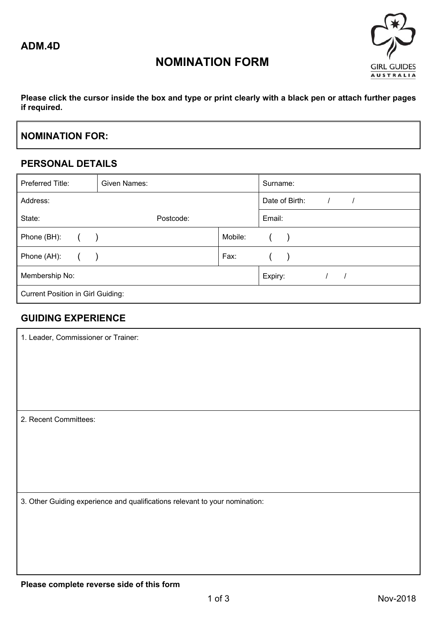

## **NOMINATION FORM**

**Please click the cursor inside the box and type or print clearly with a black pen or attach further pages if required.** 

### **NOMINATION FOR:**

#### **PERSONAL DETAILS**

| Preferred Title:                         | Given Names: |                              | Surname: |  |  |  |
|------------------------------------------|--------------|------------------------------|----------|--|--|--|
| Address:                                 |              | Date of Birth:<br>$\sqrt{2}$ |          |  |  |  |
| State:                                   | Postcode:    |                              | Email:   |  |  |  |
| Phone (BH):                              |              | Mobile:                      |          |  |  |  |
| Phone (AH):                              |              | Fax:                         |          |  |  |  |
| Membership No:                           |              | Expiry:                      |          |  |  |  |
| <b>Current Position in Girl Guiding:</b> |              |                              |          |  |  |  |

#### **GUIDING EXPERIENCE**

| 1. Leader, Commissioner or Trainer:                                         |  |  |
|-----------------------------------------------------------------------------|--|--|
|                                                                             |  |  |
|                                                                             |  |  |
|                                                                             |  |  |
| 2. Recent Committees:                                                       |  |  |
|                                                                             |  |  |
|                                                                             |  |  |
|                                                                             |  |  |
| 3. Other Guiding experience and qualifications relevant to your nomination: |  |  |
|                                                                             |  |  |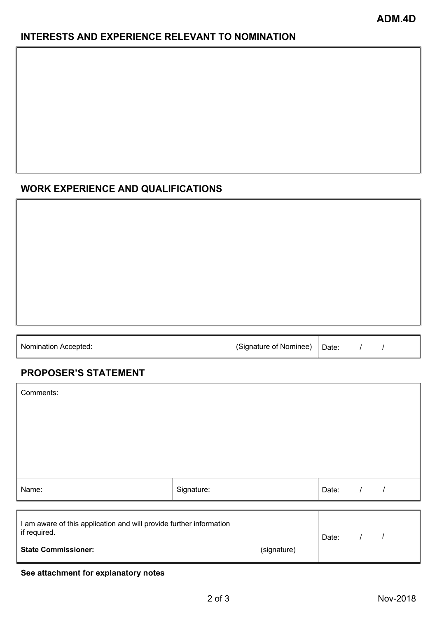#### **INTERESTS AND EXPERIENCE RELEVANT TO NOMINATION**

#### **WORK EXPERIENCE AND QUALIFICATIONS**

| <b>Nomination Accepted:</b> | (Signature of Nominee) | Date: |  |  |
|-----------------------------|------------------------|-------|--|--|
|                             |                        |       |  |  |

## **PROPOSER'S STATEMENT**

| Comments:                                                                                                                        |            |  |       |  |
|----------------------------------------------------------------------------------------------------------------------------------|------------|--|-------|--|
|                                                                                                                                  |            |  |       |  |
| Name:                                                                                                                            | Signature: |  | Date: |  |
| I am aware of this application and will provide further information<br>if required.<br><b>State Commissioner:</b><br>(signature) |            |  | Date: |  |

#### **See attachment for explanatory notes**